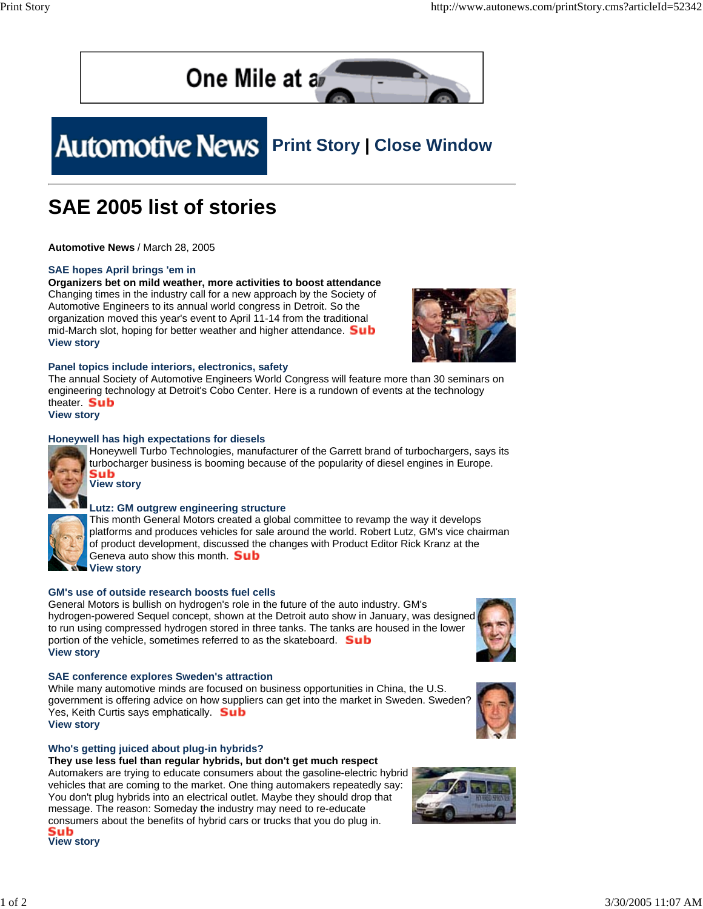

# **Automotive News** Print Story | Close Window

### **SAE 2005 list of stories**

**Automotive News** / March 28, 2005

#### **SAE hopes April brings 'em in**

**Organizers bet on mild weather, more activities to boost attendance** Changing times in the industry call for a new approach by the Society of Automotive Engineers to its annual world congress in Detroit. So the organization moved this year's event to April 11-14 from the traditional mid-March slot, hoping for better weather and higher attendance. **Sub View story**



#### **Panel topics include interiors, electronics, safety**

The annual Society of Automotive Engineers World Congress will feature more than 30 seminars on engineering technology at Detroit's Cobo Center. Here is a rundown of events at the technology theater. **Sub** 

**View story**

#### **Honeywell has high expectations for diesels**



Honeywell Turbo Technologies, manufacturer of the Garrett brand of turbochargers, says its turbocharger business is booming because of the popularity of diesel engines in Europe. Sub

**View story**

#### **Lutz: GM outgrew engineering structure**

This month General Motors created a global committee to revamp the way it develops platforms and produces vehicles for sale around the world. Robert Lutz, GM's vice chairman of product development, discussed the changes with Product Editor Rick Kranz at the Geneva auto show this month **Sub View story**

**GM's use of outside research boosts fuel cells**

General Motors is bullish on hydrogen's role in the future of the auto industry. GM's hydrogen-powered Sequel concept, shown at the Detroit auto show in January, was designed to run using compressed hydrogen stored in three tanks. The tanks are housed in the lower portion of the vehicle, sometimes referred to as the skateboard. **Sub View story**

#### **SAE conference explores Sweden's attraction**

While many automotive minds are focused on business opportunities in China, the U.S. government is offering advice on how suppliers can get into the market in Sweden. Sweden? Yes, Keith Curtis says emphatically. **Sub View story**



#### **Who's getting juiced about plug-in hybrids?**

#### **They use less fuel than regular hybrids, but don't get much respect**

Automakers are trying to educate consumers about the gasoline-electric hybrid vehicles that are coming to the market. One thing automakers repeatedly say: You don't plug hybrids into an electrical outlet. Maybe they should drop that message. The reason: Someday the industry may need to re-educate consumers about the benefits of hybrid cars or trucks that you do plug in. Sub



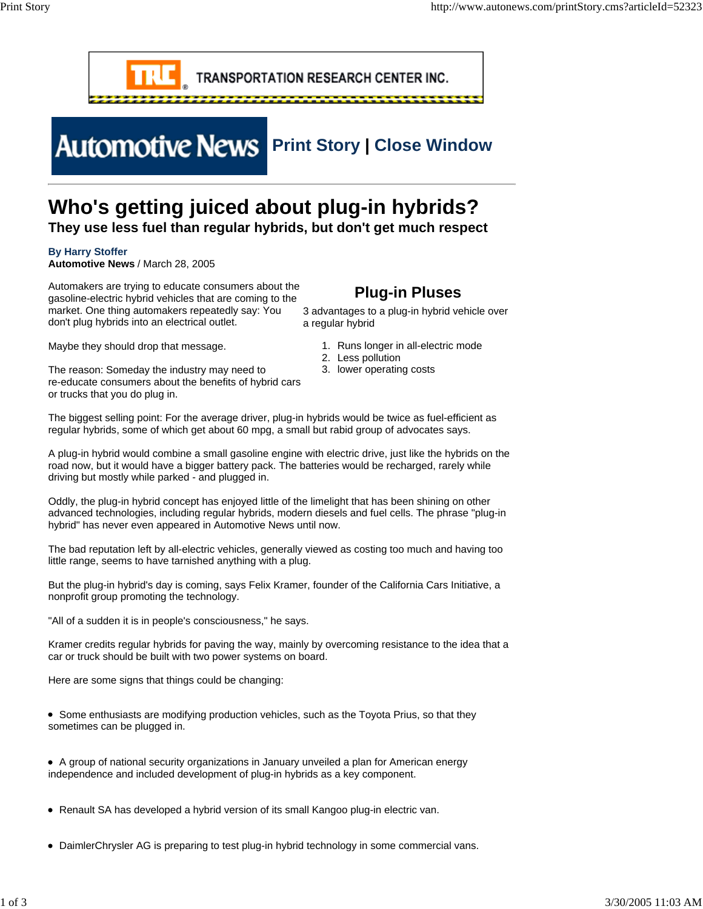

## **Automotive News** Print Story | Close Window

### **Who's getting juiced about plug-in hybrids?**

**They use less fuel than regular hybrids, but don't get much respect**

#### **By Harry Stoffer**

**Automotive News** / March 28, 2005

Automakers are trying to educate consumers about the gasoline-electric hybrid vehicles that are coming to the market. One thing automakers repeatedly say: You don't plug hybrids into an electrical outlet.

**Plug-in Pluses**

3 advantages to a plug-in hybrid vehicle over a regular hybrid

- 1. Runs longer in all-electric mode
	- 2. Less pollution
	- 3. lower operating costs

Maybe they should drop that message.

The reason: Someday the industry may need to re-educate consumers about the benefits of hybrid cars or trucks that you do plug in.

The biggest selling point: For the average driver, plug-in hybrids would be twice as fuel-efficient as regular hybrids, some of which get about 60 mpg, a small but rabid group of advocates says.

A plug-in hybrid would combine a small gasoline engine with electric drive, just like the hybrids on the road now, but it would have a bigger battery pack. The batteries would be recharged, rarely while driving but mostly while parked - and plugged in.

Oddly, the plug-in hybrid concept has enjoyed little of the limelight that has been shining on other advanced technologies, including regular hybrids, modern diesels and fuel cells. The phrase "plug-in hybrid" has never even appeared in Automotive News until now.

The bad reputation left by all-electric vehicles, generally viewed as costing too much and having too little range, seems to have tarnished anything with a plug.

But the plug-in hybrid's day is coming, says Felix Kramer, founder of the California Cars Initiative, a nonprofit group promoting the technology.

"All of a sudden it is in people's consciousness," he says.

Kramer credits regular hybrids for paving the way, mainly by overcoming resistance to the idea that a car or truck should be built with two power systems on board.

Here are some signs that things could be changing:

- Some enthusiasts are modifying production vehicles, such as the Toyota Prius, so that they sometimes can be plugged in.
- A group of national security organizations in January unveiled a plan for American energy independence and included development of plug-in hybrids as a key component.
- Renault SA has developed a hybrid version of its small Kangoo plug-in electric van.
- DaimlerChrysler AG is preparing to test plug-in hybrid technology in some commercial vans.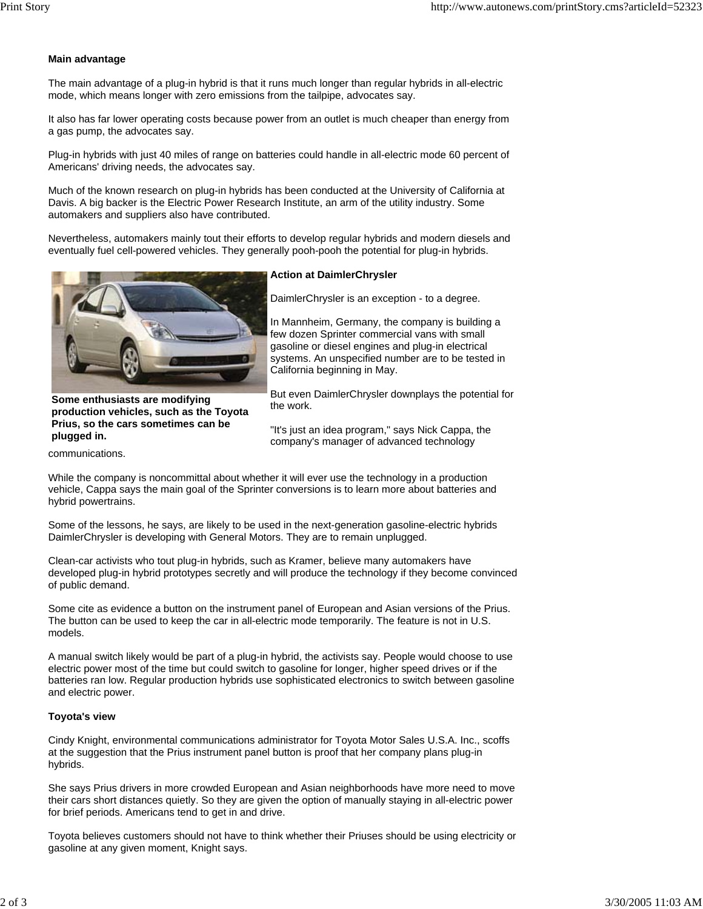#### **Main advantage**

The main advantage of a plug-in hybrid is that it runs much longer than regular hybrids in all-electric mode, which means longer with zero emissions from the tailpipe, advocates say.

It also has far lower operating costs because power from an outlet is much cheaper than energy from a gas pump, the advocates say.

Plug-in hybrids with just 40 miles of range on batteries could handle in all-electric mode 60 percent of Americans' driving needs, the advocates say.

Much of the known research on plug-in hybrids has been conducted at the University of California at Davis. A big backer is the Electric Power Research Institute, an arm of the utility industry. Some automakers and suppliers also have contributed.

Nevertheless, automakers mainly tout their efforts to develop regular hybrids and modern diesels and eventually fuel cell-powered vehicles. They generally pooh-pooh the potential for plug-in hybrids.



**Some enthusiasts are modifying production vehicles, such as the Toyota Prius, so the cars sometimes can be plugged in.**

**Action at DaimlerChrysler**

DaimlerChrysler is an exception - to a degree.

In Mannheim, Germany, the company is building a few dozen Sprinter commercial vans with small gasoline or diesel engines and plug-in electrical systems. An unspecified number are to be tested in California beginning in May.

But even DaimlerChrysler downplays the potential for the work.

"It's just an idea program," says Nick Cappa, the company's manager of advanced technology

communications.

While the company is noncommittal about whether it will ever use the technology in a production vehicle, Cappa says the main goal of the Sprinter conversions is to learn more about batteries and hybrid powertrains.

Some of the lessons, he says, are likely to be used in the next-generation gasoline-electric hybrids DaimlerChrysler is developing with General Motors. They are to remain unplugged.

Clean-car activists who tout plug-in hybrids, such as Kramer, believe many automakers have developed plug-in hybrid prototypes secretly and will produce the technology if they become convinced of public demand.

Some cite as evidence a button on the instrument panel of European and Asian versions of the Prius. The button can be used to keep the car in all-electric mode temporarily. The feature is not in U.S. models.

A manual switch likely would be part of a plug-in hybrid, the activists say. People would choose to use electric power most of the time but could switch to gasoline for longer, higher speed drives or if the batteries ran low. Regular production hybrids use sophisticated electronics to switch between gasoline and electric power.

#### **Toyota's view**

Cindy Knight, environmental communications administrator for Toyota Motor Sales U.S.A. Inc., scoffs at the suggestion that the Prius instrument panel button is proof that her company plans plug-in hybrids.

She says Prius drivers in more crowded European and Asian neighborhoods have more need to move their cars short distances quietly. So they are given the option of manually staying in all-electric power for brief periods. Americans tend to get in and drive.

Toyota believes customers should not have to think whether their Priuses should be using electricity or gasoline at any given moment, Knight says.